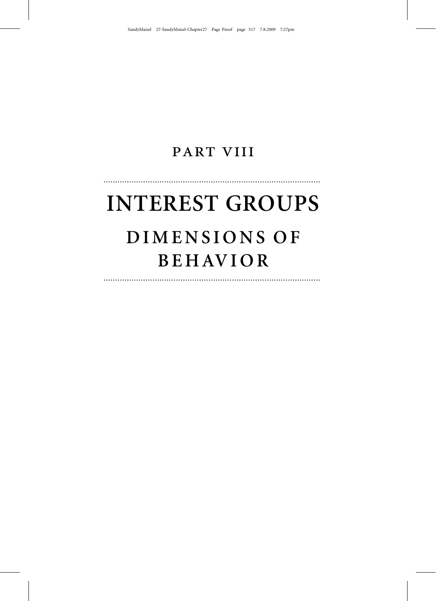# PART VIII

.............................................................................................

# INTEREST GROUPS DIMENSIONS OF B EHAV IOR

.............................................................................................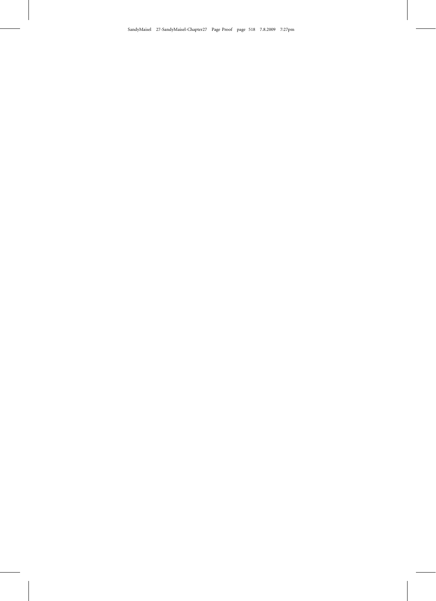SandyMaisel 27-SandyMaisel-Chapter27 Page Proof page 518 7.8.2009 7:27pm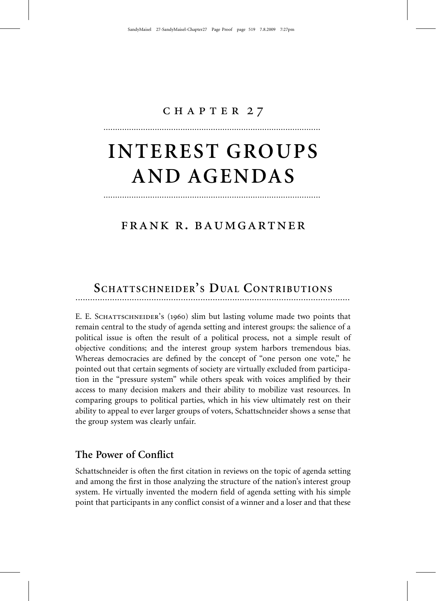## chapter 27

.............................................................................................

# INTEREST GROUPS AND AGENDAS

.............................................................................................

## frank r. baumgartner

# SCHATTSCHNEIDER'S DUAL CONTRIBUTIONS

E. E. SCHATTSCHNEIDER's (1960) slim but lasting volume made two points that remain central to the study of agenda setting and interest groups: the salience of a political issue is often the result of a political process, not a simple result of objective conditions; and the interest group system harbors tremendous bias. Whereas democracies are defined by the concept of "one person one vote," he pointed out that certain segments of society are virtually excluded from participation in the "pressure system" while others speak with voices amplified by their access to many decision makers and their ability to mobilize vast resources. In comparing groups to political parties, which in his view ultimately rest on their ability to appeal to ever larger groups of voters, Schattschneider shows a sense that the group system was clearly unfair.

## The Power of Conflict

Schattschneider is often the first citation in reviews on the topic of agenda setting and among the first in those analyzing the structure of the nation's interest group system. He virtually invented the modern field of agenda setting with his simple point that participants in any conflict consist of a winner and a loser and that these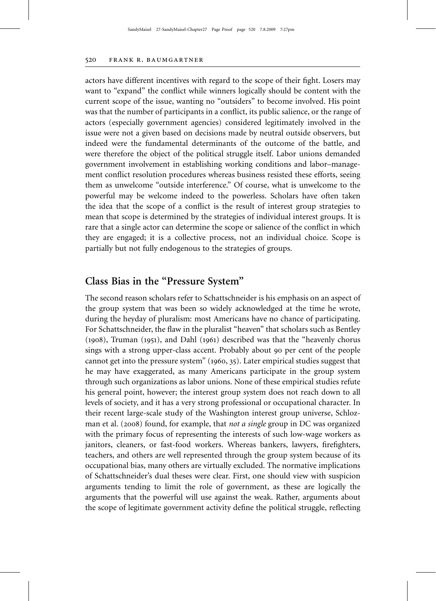actors have different incentives with regard to the scope of their fight. Losers may want to "expand" the conflict while winners logically should be content with the current scope of the issue, wanting no "outsiders" to become involved. His point was that the number of participants in a conflict, its public salience, or the range of actors (especially government agencies) considered legitimately involved in the issue were not a given based on decisions made by neutral outside observers, but indeed were the fundamental determinants of the outcome of the battle, and were therefore the object of the political struggle itself. Labor unions demanded government involvement in establishing working conditions and labor–management conflict resolution procedures whereas business resisted these efforts, seeing them as unwelcome "outside interference." Of course, what is unwelcome to the powerful may be welcome indeed to the powerless. Scholars have often taken the idea that the scope of a conflict is the result of interest group strategies to mean that scope is determined by the strategies of individual interest groups. It is rare that a single actor can determine the scope or salience of the conflict in which they are engaged; it is a collective process, not an individual choice. Scope is partially but not fully endogenous to the strategies of groups.

## Class Bias in the "Pressure System"

The second reason scholars refer to Schattschneider is his emphasis on an aspect of the group system that was been so widely acknowledged at the time he wrote, during the heyday of pluralism: most Americans have no chance of participating. For Schattschneider, the flaw in the pluralist "heaven" that scholars such as Bentley (1908), Truman (1951), and Dahl (1961) described was that the "heavenly chorus sings with a strong upper-class accent. Probably about 90 per cent of the people cannot get into the pressure system" (1960, 35). Later empirical studies suggest that he may have exaggerated, as many Americans participate in the group system through such organizations as labor unions. None of these empirical studies refute his general point, however; the interest group system does not reach down to all levels of society, and it has a very strong professional or occupational character. In their recent large-scale study of the Washington interest group universe, Schlozman et al. (2008) found, for example, that *not a single* group in DC was organized with the primary focus of representing the interests of such low-wage workers as janitors, cleaners, or fast-food workers. Whereas bankers, lawyers, firefighters, teachers, and others are well represented through the group system because of its occupational bias, many others are virtually excluded. The normative implications of Schattschneider's dual theses were clear. First, one should view with suspicion arguments tending to limit the role of government, as these are logically the arguments that the powerful will use against the weak. Rather, arguments about the scope of legitimate government activity define the political struggle, reflecting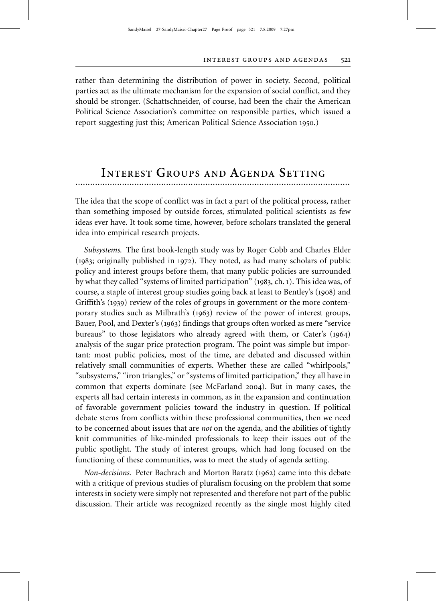rather than determining the distribution of power in society. Second, political parties act as the ultimate mechanism for the expansion of social conflict, and they should be stronger. (Schattschneider, of course, had been the chair the American Political Science Association's committee on responsible parties, which issued a report suggesting just this; American Political Science Association 1950.)

# INTEREST GROUPS AND AGENDA SETTING

The idea that the scope of conflict was in fact a part of the political process, rather than something imposed by outside forces, stimulated political scientists as few ideas ever have. It took some time, however, before scholars translated the general idea into empirical research projects.

Subsystems. The first book-length study was by Roger Cobb and Charles Elder (1983; originally published in 1972). They noted, as had many scholars of public policy and interest groups before them, that many public policies are surrounded by what they called "systems of limited participation" (1983, ch. 1). This idea was, of course, a staple of interest group studies going back at least to Bentley's (1908) and Griffith's (1939) review of the roles of groups in government or the more contemporary studies such as Milbrath's (1963) review of the power of interest groups, Bauer, Pool, and Dexter's (1963) findings that groups often worked as mere "service bureaus" to those legislators who already agreed with them, or Cater's (1964) analysis of the sugar price protection program. The point was simple but important: most public policies, most of the time, are debated and discussed within relatively small communities of experts. Whether these are called "whirlpools," "subsystems," "iron triangles," or "systems of limited participation," they all have in common that experts dominate (see McFarland 2004). But in many cases, the experts all had certain interests in common, as in the expansion and continuation of favorable government policies toward the industry in question. If political debate stems from conflicts within these professional communities, then we need to be concerned about issues that are *not* on the agenda, and the abilities of tightly knit communities of like-minded professionals to keep their issues out of the public spotlight. The study of interest groups, which had long focused on the functioning of these communities, was to meet the study of agenda setting.

Non-decisions. Peter Bachrach and Morton Baratz (1962) came into this debate with a critique of previous studies of pluralism focusing on the problem that some interests in society were simply not represented and therefore not part of the public discussion. Their article was recognized recently as the single most highly cited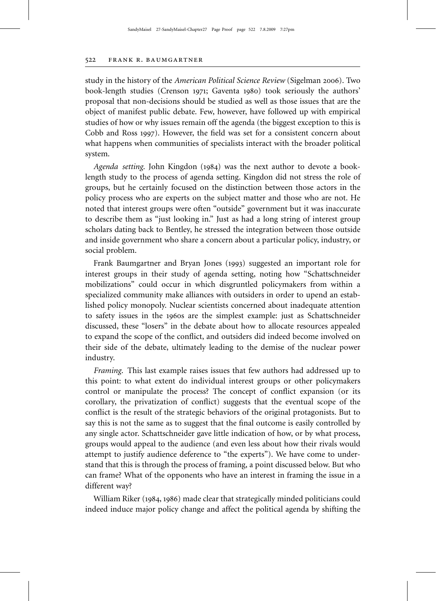study in the history of the American Political Science Review (Sigelman 2006). Two book-length studies (Crenson 1971; Gaventa 1980) took seriously the authors' proposal that non-decisions should be studied as well as those issues that are the object of manifest public debate. Few, however, have followed up with empirical studies of how or why issues remain off the agenda (the biggest exception to this is Cobb and Ross 1997). However, the field was set for a consistent concern about what happens when communities of specialists interact with the broader political system.

Agenda setting. John Kingdon (1984) was the next author to devote a booklength study to the process of agenda setting. Kingdon did not stress the role of groups, but he certainly focused on the distinction between those actors in the policy process who are experts on the subject matter and those who are not. He noted that interest groups were often "outside" government but it was inaccurate to describe them as "just looking in." Just as had a long string of interest group scholars dating back to Bentley, he stressed the integration between those outside and inside government who share a concern about a particular policy, industry, or social problem.

Frank Baumgartner and Bryan Jones (1993) suggested an important role for interest groups in their study of agenda setting, noting how "Schattschneider mobilizations" could occur in which disgruntled policymakers from within a specialized community make alliances with outsiders in order to upend an established policy monopoly. Nuclear scientists concerned about inadequate attention to safety issues in the 1960s are the simplest example: just as Schattschneider discussed, these "losers" in the debate about how to allocate resources appealed to expand the scope of the conflict, and outsiders did indeed become involved on their side of the debate, ultimately leading to the demise of the nuclear power industry.

Framing. This last example raises issues that few authors had addressed up to this point: to what extent do individual interest groups or other policymakers control or manipulate the process? The concept of conflict expansion (or its corollary, the privatization of conflict) suggests that the eventual scope of the conflict is the result of the strategic behaviors of the original protagonists. But to say this is not the same as to suggest that the final outcome is easily controlled by any single actor. Schattschneider gave little indication of how, or by what process, groups would appeal to the audience (and even less about how their rivals would attempt to justify audience deference to "the experts"). We have come to understand that this is through the process of framing, a point discussed below. But who can frame? What of the opponents who have an interest in framing the issue in a different way?

William Riker (1984, 1986) made clear that strategically minded politicians could indeed induce major policy change and affect the political agenda by shifting the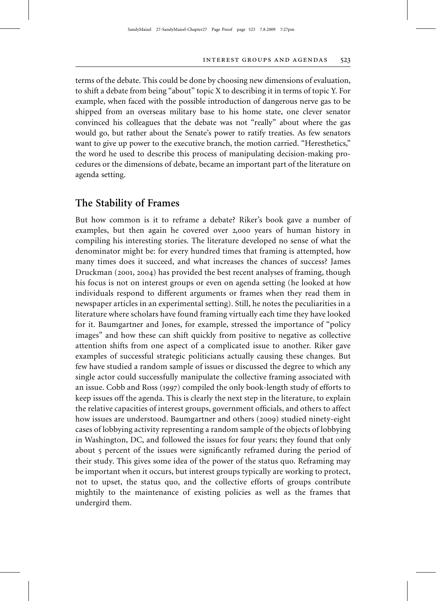terms of the debate. This could be done by choosing new dimensions of evaluation, to shift a debate from being "about" topic X to describing it in terms of topic Y. For example, when faced with the possible introduction of dangerous nerve gas to be shipped from an overseas military base to his home state, one clever senator convinced his colleagues that the debate was not "really" about where the gas would go, but rather about the Senate's power to ratify treaties. As few senators want to give up power to the executive branch, the motion carried. "Heresthetics," the word he used to describe this process of manipulating decision-making procedures or the dimensions of debate, became an important part of the literature on agenda setting.

### The Stability of Frames

But how common is it to reframe a debate? Riker's book gave a number of examples, but then again he covered over 2,000 years of human history in compiling his interesting stories. The literature developed no sense of what the denominator might be: for every hundred times that framing is attempted, how many times does it succeed, and what increases the chances of success? James Druckman (2001, 2004) has provided the best recent analyses of framing, though his focus is not on interest groups or even on agenda setting (he looked at how individuals respond to different arguments or frames when they read them in newspaper articles in an experimental setting). Still, he notes the peculiarities in a literature where scholars have found framing virtually each time they have looked for it. Baumgartner and Jones, for example, stressed the importance of "policy images" and how these can shift quickly from positive to negative as collective attention shifts from one aspect of a complicated issue to another. Riker gave examples of successful strategic politicians actually causing these changes. But few have studied a random sample of issues or discussed the degree to which any single actor could successfully manipulate the collective framing associated with an issue. Cobb and Ross (1997) compiled the only book-length study of efforts to keep issues off the agenda. This is clearly the next step in the literature, to explain the relative capacities of interest groups, government officials, and others to affect how issues are understood. Baumgartner and others (2009) studied ninety-eight cases of lobbying activity representing a random sample of the objects of lobbying in Washington, DC, and followed the issues for four years; they found that only about 5 percent of the issues were significantly reframed during the period of their study. This gives some idea of the power of the status quo. Reframing may be important when it occurs, but interest groups typically are working to protect, not to upset, the status quo, and the collective efforts of groups contribute mightily to the maintenance of existing policies as well as the frames that undergird them.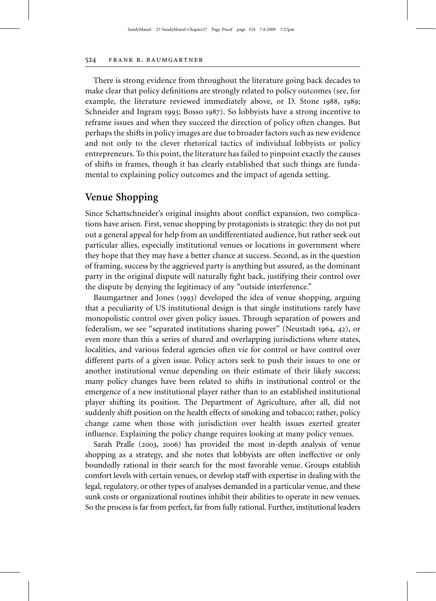There is strong evidence from throughout the literature going back decades to make clear that policy definitions are strongly related to policy outcomes (see, for example, the literature reviewed immediately above, or D. Stone 1988, 1989; Schneider and Ingram 1993; Bosso 1987). So lobbyists have a strong incentive to reframe issues and when they succeed the direction of policy often changes. But perhaps the shifts in policy images are due to broader factors such as new evidence and not only to the clever rhetorical tactics of individual lobbyists or policy entrepreneurs. To this point, the literature has failed to pinpoint exactly the causes of shifts in frames, though it has clearly established that such things are fundamental to explaining policy outcomes and the impact of agenda setting.

## Venue Shopping

Since Schattschneider's original insights about conflict expansion, two complications have arisen. First, venue shopping by protagonists is strategic: they do not put out a general appeal for help from an undifferentiated audience, but rather seek out particular allies, especially institutional venues or locations in government where they hope that they may have a better chance at success. Second, as in the question of framing, success by the aggrieved party is anything but assured, as the dominant party in the original dispute will naturally fight back, justifying their control over the dispute by denying the legitimacy of any "outside interference."

Baumgartner and Jones (1993) developed the idea of venue shopping, arguing that a peculiarity of US institutional design is that single institutions rarely have monopolistic control over given policy issues. Through separation of powers and federalism, we see "separated institutions sharing power" (Neustadt 1964, 42), or even more than this a series of shared and overlapping jurisdictions where states, localities, and various federal agencies often vie for control or have control over different parts of a given issue. Policy actors seek to push their issues to one or another institutional venue depending on their estimate of their likely success; many policy changes have been related to shifts in institutional control or the emergence of a new institutional player rather than to an established institutional player shifting its position. The Department of Agriculture, after all, did not suddenly shift position on the health effects of smoking and tobacco; rather, policy change came when those with jurisdiction over health issues exerted greater influence. Explaining the policy change requires looking at many policy venues.

Sarah Pralle (2003, 2006) has provided the most in-depth analysis of venue shopping as a strategy, and she notes that lobbyists are often ineffective or only boundedly rational in their search for the most favorable venue. Groups establish comfort levels with certain venues, or develop staff with expertise in dealing with the legal, regulatory, or other types of analyses demanded in a particular venue, and these sunk costs or organizational routines inhibit their abilities to operate in new venues. So the process is far from perfect, far from fully rational. Further, institutional leaders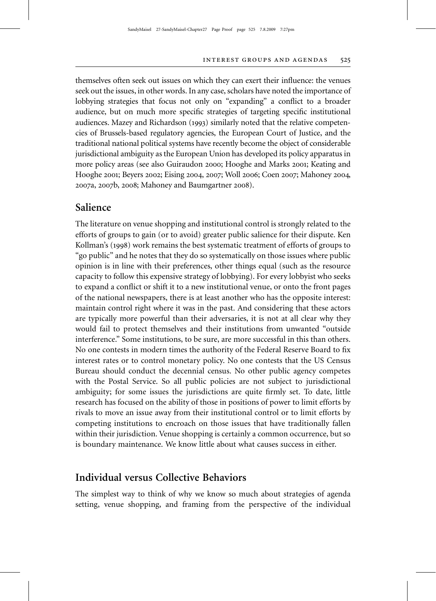themselves often seek out issues on which they can exert their influence: the venues seek out the issues, in other words. In any case, scholars have noted the importance of lobbying strategies that focus not only on "expanding" a conflict to a broader audience, but on much more specific strategies of targeting specific institutional audiences. Mazey and Richardson (1993) similarly noted that the relative competencies of Brussels-based regulatory agencies, the European Court of Justice, and the traditional national political systems have recently become the object of considerable jurisdictional ambiguity as the European Union has developed its policy apparatus in more policy areas (see also Guiraudon 2000; Hooghe and Marks 2001; Keating and Hooghe 2001; Beyers 2002; Eising 2004, 2007; Woll 2006; Coen 2007; Mahoney 2004, 2007a, 2007b, 2008; Mahoney and Baumgartner 2008).

## Salience

The literature on venue shopping and institutional control is strongly related to the efforts of groups to gain (or to avoid) greater public salience for their dispute. Ken Kollman's (1998) work remains the best systematic treatment of efforts of groups to "go public" and he notes that they do so systematically on those issues where public opinion is in line with their preferences, other things equal (such as the resource capacity to follow this expensive strategy of lobbying). For every lobbyist who seeks to expand a conflict or shift it to a new institutional venue, or onto the front pages of the national newspapers, there is at least another who has the opposite interest: maintain control right where it was in the past. And considering that these actors are typically more powerful than their adversaries, it is not at all clear why they would fail to protect themselves and their institutions from unwanted "outside interference." Some institutions, to be sure, are more successful in this than others. No one contests in modern times the authority of the Federal Reserve Board to fix interest rates or to control monetary policy. No one contests that the US Census Bureau should conduct the decennial census. No other public agency competes with the Postal Service. So all public policies are not subject to jurisdictional ambiguity; for some issues the jurisdictions are quite firmly set. To date, little research has focused on the ability of those in positions of power to limit efforts by rivals to move an issue away from their institutional control or to limit efforts by competing institutions to encroach on those issues that have traditionally fallen within their jurisdiction. Venue shopping is certainly a common occurrence, but so is boundary maintenance. We know little about what causes success in either.

#### Individual versus Collective Behaviors

The simplest way to think of why we know so much about strategies of agenda setting, venue shopping, and framing from the perspective of the individual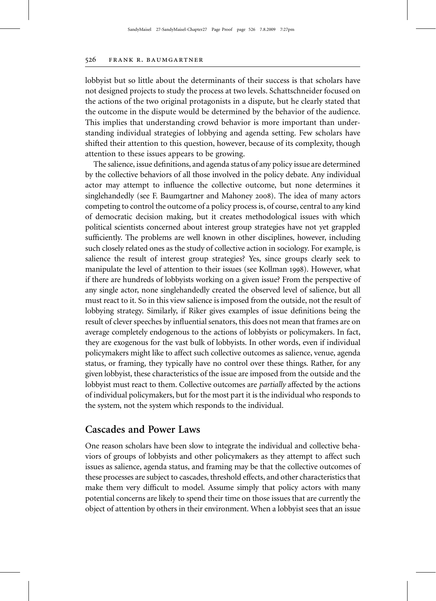lobbyist but so little about the determinants of their success is that scholars have not designed projects to study the process at two levels. Schattschneider focused on the actions of the two original protagonists in a dispute, but he clearly stated that the outcome in the dispute would be determined by the behavior of the audience. This implies that understanding crowd behavior is more important than understanding individual strategies of lobbying and agenda setting. Few scholars have shifted their attention to this question, however, because of its complexity, though attention to these issues appears to be growing.

The salience, issue definitions, and agenda status of any policy issue are determined by the collective behaviors of all those involved in the policy debate. Any individual actor may attempt to influence the collective outcome, but none determines it singlehandedly (see F. Baumgartner and Mahoney 2008). The idea of many actors competing to control the outcome of a policy process is, of course, central to any kind of democratic decision making, but it creates methodological issues with which political scientists concerned about interest group strategies have not yet grappled sufficiently. The problems are well known in other disciplines, however, including such closely related ones as the study of collective action in sociology. For example, is salience the result of interest group strategies? Yes, since groups clearly seek to manipulate the level of attention to their issues (see Kollman 1998). However, what if there are hundreds of lobbyists working on a given issue? From the perspective of any single actor, none singlehandedly created the observed level of salience, but all must react to it. So in this view salience is imposed from the outside, not the result of lobbying strategy. Similarly, if Riker gives examples of issue definitions being the result of clever speeches by influential senators, this does not mean that frames are on average completely endogenous to the actions of lobbyists or policymakers. In fact, they are exogenous for the vast bulk of lobbyists. In other words, even if individual policymakers might like to affect such collective outcomes as salience, venue, agenda status, or framing, they typically have no control over these things. Rather, for any given lobbyist, these characteristics of the issue are imposed from the outside and the lobbyist must react to them. Collective outcomes are partially affected by the actions of individual policymakers, but for the most part it is the individual who responds to the system, not the system which responds to the individual.

## Cascades and Power Laws

One reason scholars have been slow to integrate the individual and collective behaviors of groups of lobbyists and other policymakers as they attempt to affect such issues as salience, agenda status, and framing may be that the collective outcomes of these processes are subject to cascades, threshold effects, and other characteristics that make them very difficult to model. Assume simply that policy actors with many potential concerns are likely to spend their time on those issues that are currently the object of attention by others in their environment. When a lobbyist sees that an issue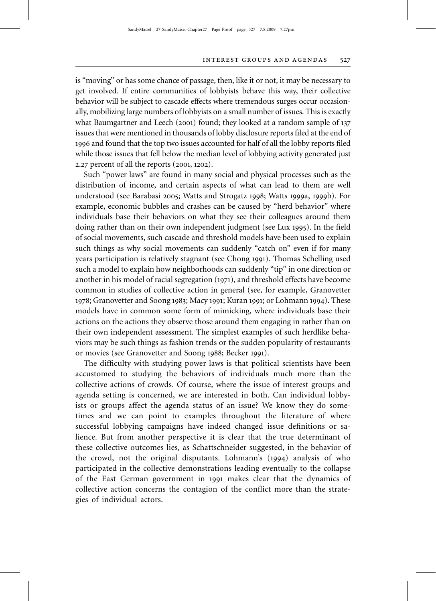is "moving" or has some chance of passage, then, like it or not, it may be necessary to get involved. If entire communities of lobbyists behave this way, their collective behavior will be subject to cascade effects where tremendous surges occur occasionally, mobilizing large numbers of lobbyists on a small number of issues. This is exactly what Baumgartner and Leech (2001) found; they looked at a random sample of 137 issues that were mentioned in thousands of lobby disclosure reports filed at the end of 1996 and found that the top two issues accounted for half of all the lobby reports filed while those issues that fell below the median level of lobbying activity generated just 2.27 percent of all the reports (2001, 1202).

Such "power laws" are found in many social and physical processes such as the distribution of income, and certain aspects of what can lead to them are well understood (see Barabasi 2005; Watts and Strogatz 1998; Watts 1999a, 1999b). For example, economic bubbles and crashes can be caused by "herd behavior" where individuals base their behaviors on what they see their colleagues around them doing rather than on their own independent judgment (see Lux 1995). In the field of social movements, such cascade and threshold models have been used to explain such things as why social movements can suddenly "catch on" even if for many years participation is relatively stagnant (see Chong 1991). Thomas Schelling used such a model to explain how neighborhoods can suddenly "tip" in one direction or another in his model of racial segregation (1971), and threshold effects have become common in studies of collective action in general (see, for example, Granovetter 1978; Granovetter and Soong 1983; Macy 1991; Kuran 1991; or Lohmann 1994). These models have in common some form of mimicking, where individuals base their actions on the actions they observe those around them engaging in rather than on their own independent assessment. The simplest examples of such herdlike behaviors may be such things as fashion trends or the sudden popularity of restaurants or movies (see Granovetter and Soong 1988; Becker 1991).

The difficulty with studying power laws is that political scientists have been accustomed to studying the behaviors of individuals much more than the collective actions of crowds. Of course, where the issue of interest groups and agenda setting is concerned, we are interested in both. Can individual lobbyists or groups affect the agenda status of an issue? We know they do sometimes and we can point to examples throughout the literature of where successful lobbying campaigns have indeed changed issue definitions or salience. But from another perspective it is clear that the true determinant of these collective outcomes lies, as Schattschneider suggested, in the behavior of the crowd, not the original disputants. Lohmann's (1994) analysis of who participated in the collective demonstrations leading eventually to the collapse of the East German government in 1991 makes clear that the dynamics of collective action concerns the contagion of the conflict more than the strategies of individual actors.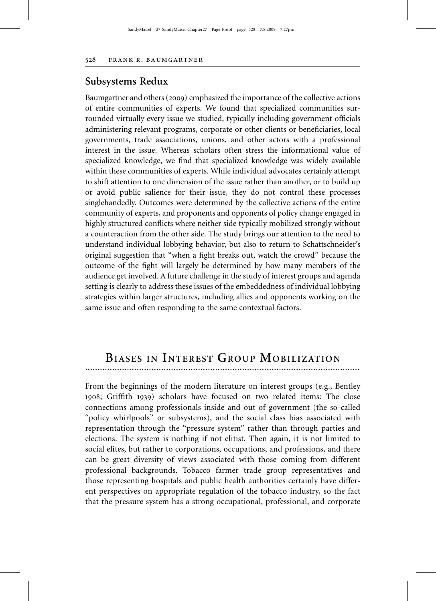## Subsystems Redux

Baumgartner and others (2009) emphasized the importance of the collective actions of entire communities of experts. We found that specialized communities surrounded virtually every issue we studied, typically including government officials administering relevant programs, corporate or other clients or beneficiaries, local governments, trade associations, unions, and other actors with a professional interest in the issue. Whereas scholars often stress the informational value of specialized knowledge, we find that specialized knowledge was widely available within these communities of experts. While individual advocates certainly attempt to shift attention to one dimension of the issue rather than another, or to build up or avoid public salience for their issue, they do not control these processes singlehandedly. Outcomes were determined by the collective actions of the entire community of experts, and proponents and opponents of policy change engaged in highly structured conflicts where neither side typically mobilized strongly without a counteraction from the other side. The study brings our attention to the need to understand individual lobbying behavior, but also to return to Schattschneider's original suggestion that "when a fight breaks out, watch the crowd" because the outcome of the fight will largely be determined by how many members of the audience get involved. A future challenge in the study of interest groups and agenda setting is clearly to address these issues of the embeddedness of individual lobbying strategies within larger structures, including allies and opponents working on the same issue and often responding to the same contextual factors.

# BIASES IN INTEREST GROUP MOBILIZATION

From the beginnings of the modern literature on interest groups (e.g., Bentley 1908; Griffith 1939) scholars have focused on two related items: The close connections among professionals inside and out of government (the so-called "policy whirlpools" or subsystems), and the social class bias associated with representation through the "pressure system" rather than through parties and elections. The system is nothing if not elitist. Then again, it is not limited to social elites, but rather to corporations, occupations, and professions, and there can be great diversity of views associated with those coming from different professional backgrounds. Tobacco farmer trade group representatives and those representing hospitals and public health authorities certainly have different perspectives on appropriate regulation of the tobacco industry, so the fact that the pressure system has a strong occupational, professional, and corporate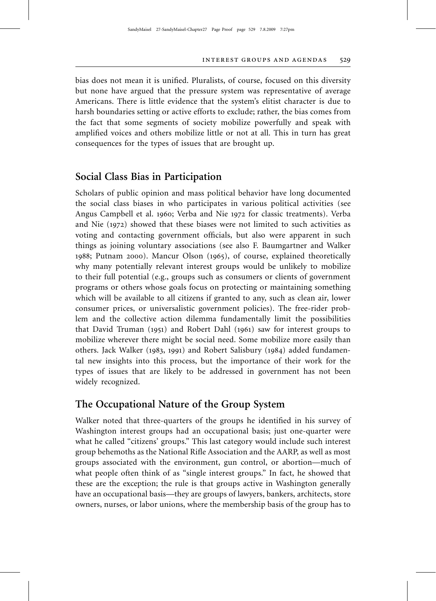bias does not mean it is unified. Pluralists, of course, focused on this diversity but none have argued that the pressure system was representative of average Americans. There is little evidence that the system's elitist character is due to harsh boundaries setting or active efforts to exclude; rather, the bias comes from the fact that some segments of society mobilize powerfully and speak with amplified voices and others mobilize little or not at all. This in turn has great consequences for the types of issues that are brought up.

#### Social Class Bias in Participation

Scholars of public opinion and mass political behavior have long documented the social class biases in who participates in various political activities (see Angus Campbell et al. 1960; Verba and Nie 1972 for classic treatments). Verba and Nie (1972) showed that these biases were not limited to such activities as voting and contacting government officials, but also were apparent in such things as joining voluntary associations (see also F. Baumgartner and Walker 1988; Putnam 2000). Mancur Olson (1965), of course, explained theoretically why many potentially relevant interest groups would be unlikely to mobilize to their full potential (e.g., groups such as consumers or clients of government programs or others whose goals focus on protecting or maintaining something which will be available to all citizens if granted to any, such as clean air, lower consumer prices, or universalistic government policies). The free-rider problem and the collective action dilemma fundamentally limit the possibilities that David Truman (1951) and Robert Dahl (1961) saw for interest groups to mobilize wherever there might be social need. Some mobilize more easily than others. Jack Walker (1983, 1991) and Robert Salisbury (1984) added fundamental new insights into this process, but the importance of their work for the types of issues that are likely to be addressed in government has not been widely recognized.

## The Occupational Nature of the Group System

Walker noted that three-quarters of the groups he identified in his survey of Washington interest groups had an occupational basis; just one-quarter were what he called "citizens' groups." This last category would include such interest group behemoths as the National Rifle Association and the AARP, as well as most groups associated with the environment, gun control, or abortion—much of what people often think of as "single interest groups." In fact, he showed that these are the exception; the rule is that groups active in Washington generally have an occupational basis—they are groups of lawyers, bankers, architects, store owners, nurses, or labor unions, where the membership basis of the group has to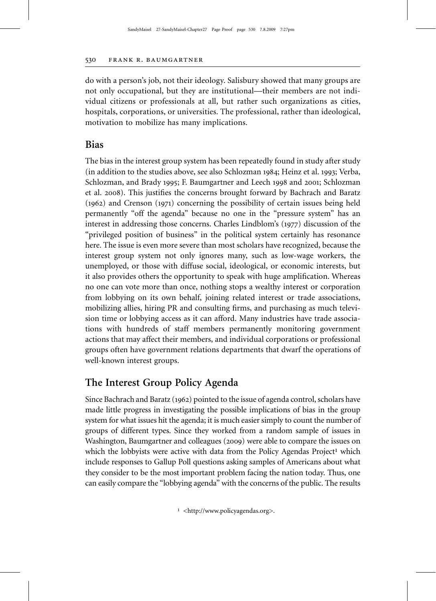do with a person's job, not their ideology. Salisbury showed that many groups are not only occupational, but they are institutional—their members are not individual citizens or professionals at all, but rather such organizations as cities, hospitals, corporations, or universities. The professional, rather than ideological, motivation to mobilize has many implications.

### Bias

The bias in the interest group system has been repeatedly found in study after study (in addition to the studies above, see also Schlozman 1984; Heinz et al. 1993; Verba, Schlozman, and Brady 1995; F. Baumgartner and Leech 1998 and 2001; Schlozman et al. 2008). This justifies the concerns brought forward by Bachrach and Baratz (1962) and Crenson (1971) concerning the possibility of certain issues being held permanently "off the agenda" because no one in the "pressure system" has an interest in addressing those concerns. Charles Lindblom's (1977) discussion of the "privileged position of business" in the political system certainly has resonance here. The issue is even more severe than most scholars have recognized, because the interest group system not only ignores many, such as low-wage workers, the unemployed, or those with diffuse social, ideological, or economic interests, but it also provides others the opportunity to speak with huge amplification. Whereas no one can vote more than once, nothing stops a wealthy interest or corporation from lobbying on its own behalf, joining related interest or trade associations, mobilizing allies, hiring PR and consulting firms, and purchasing as much television time or lobbying access as it can afford. Many industries have trade associations with hundreds of staff members permanently monitoring government actions that may affect their members, and individual corporations or professional groups often have government relations departments that dwarf the operations of well-known interest groups.

## The Interest Group Policy Agenda

Since Bachrach and Baratz (1962) pointed to the issue of agenda control, scholars have made little progress in investigating the possible implications of bias in the group system for what issues hit the agenda; it is much easier simply to count the number of groups of different types. Since they worked from a random sample of issues in Washington, Baumgartner and colleagues (2009) were able to compare the issues on which the lobbyists were active with data from the Policy Agendas Project<sup>1</sup> which include responses to Gallup Poll questions asking samples of Americans about what they consider to be the most important problem facing the nation today. Thus, one can easily compare the "lobbying agenda" with the concerns of the public. The results

<sup>1</sup> <http://www.policyagendas.org>.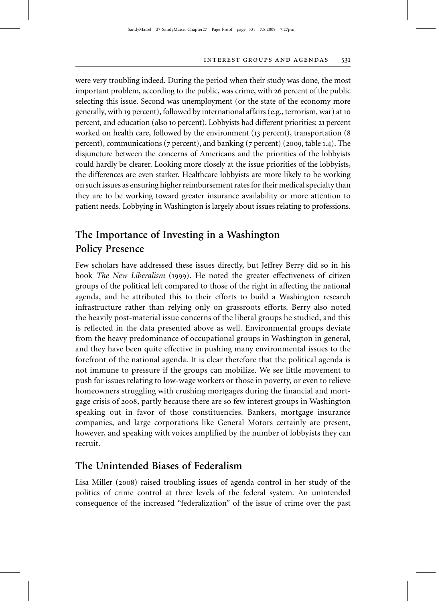were very troubling indeed. During the period when their study was done, the most important problem, according to the public, was crime, with 26 percent of the public selecting this issue. Second was unemployment (or the state of the economy more generally, with 19 percent), followed by international affairs (e.g., terrorism, war) at 10 percent, and education (also 10 percent). Lobbyists had different priorities: 21 percent worked on health care, followed by the environment (13 percent), transportation (8 percent), communications (7 percent), and banking (7 percent) (2009, table 1.4). The disjuncture between the concerns of Americans and the priorities of the lobbyists could hardly be clearer. Looking more closely at the issue priorities of the lobbyists, the differences are even starker. Healthcare lobbyists are more likely to be working on such issues as ensuring higher reimbursement rates for their medical specialty than they are to be working toward greater insurance availability or more attention to patient needs. Lobbying in Washington is largely about issues relating to professions.

# The Importance of Investing in a Washington Policy Presence

Few scholars have addressed these issues directly, but Jeffrey Berry did so in his book The New Liberalism (1999). He noted the greater effectiveness of citizen groups of the political left compared to those of the right in affecting the national agenda, and he attributed this to their efforts to build a Washington research infrastructure rather than relying only on grassroots efforts. Berry also noted the heavily post-material issue concerns of the liberal groups he studied, and this is reflected in the data presented above as well. Environmental groups deviate from the heavy predominance of occupational groups in Washington in general, and they have been quite effective in pushing many environmental issues to the forefront of the national agenda. It is clear therefore that the political agenda is not immune to pressure if the groups can mobilize. We see little movement to push for issues relating to low-wage workers or those in poverty, or even to relieve homeowners struggling with crushing mortgages during the financial and mortgage crisis of 2008, partly because there are so few interest groups in Washington speaking out in favor of those constituencies. Bankers, mortgage insurance companies, and large corporations like General Motors certainly are present, however, and speaking with voices amplified by the number of lobbyists they can recruit.

## The Unintended Biases of Federalism

Lisa Miller (2008) raised troubling issues of agenda control in her study of the politics of crime control at three levels of the federal system. An unintended consequence of the increased "federalization" of the issue of crime over the past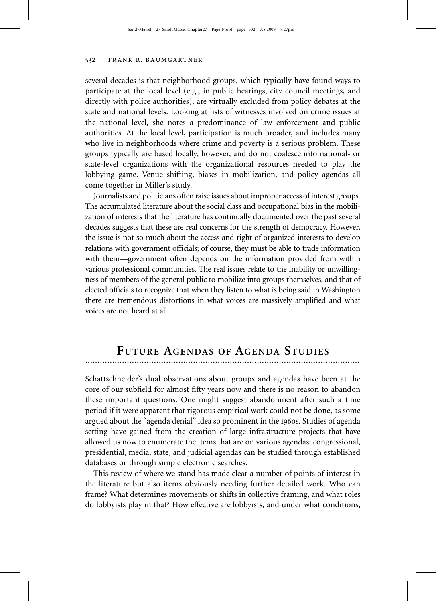several decades is that neighborhood groups, which typically have found ways to participate at the local level (e.g., in public hearings, city council meetings, and directly with police authorities), are virtually excluded from policy debates at the state and national levels. Looking at lists of witnesses involved on crime issues at the national level, she notes a predominance of law enforcement and public authorities. At the local level, participation is much broader, and includes many who live in neighborhoods where crime and poverty is a serious problem. These groups typically are based locally, however, and do not coalesce into national- or state-level organizations with the organizational resources needed to play the lobbying game. Venue shifting, biases in mobilization, and policy agendas all come together in Miller's study.

Journalists and politicians often raise issues about improper access of interest groups. The accumulated literature about the social class and occupational bias in the mobilization of interests that the literature has continually documented over the past several decades suggests that these are real concerns for the strength of democracy. However, the issue is not so much about the access and right of organized interests to develop relations with government officials; of course, they must be able to trade information with them—government often depends on the information provided from within various professional communities. The real issues relate to the inability or unwillingness of members of the general public to mobilize into groups themselves, and that of elected officials to recognize that when they listen to what is being said in Washington there are tremendous distortions in what voices are massively amplified and what voices are not heard at all.

## FUTURE AGENDAS OF AGENDA STUDIES

Schattschneider's dual observations about groups and agendas have been at the core of our subfield for almost fifty years now and there is no reason to abandon these important questions. One might suggest abandonment after such a time period if it were apparent that rigorous empirical work could not be done, as some argued about the "agenda denial" idea so prominent in the 1960s. Studies of agenda setting have gained from the creation of large infrastructure projects that have allowed us now to enumerate the items that are on various agendas: congressional, presidential, media, state, and judicial agendas can be studied through established databases or through simple electronic searches.

This review of where we stand has made clear a number of points of interest in the literature but also items obviously needing further detailed work. Who can frame? What determines movements or shifts in collective framing, and what roles do lobbyists play in that? How effective are lobbyists, and under what conditions,